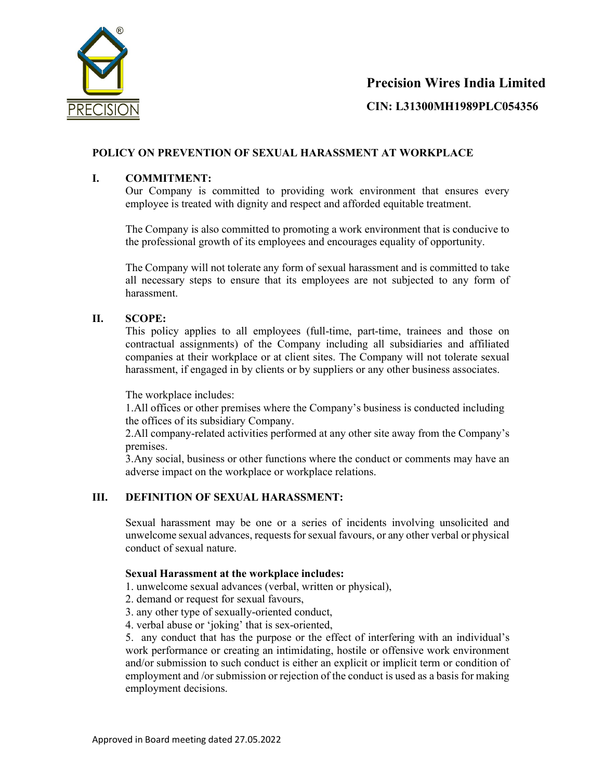

### Precision Wires India Limited

CIN: L31300MH1989PLC054356

### POLICY ON PREVENTION OF SEXUAL HARASSMENT AT WORKPLACE

### I. COMMITMENT:

Our Company is committed to providing work environment that ensures every employee is treated with dignity and respect and afforded equitable treatment.

The Company is also committed to promoting a work environment that is conducive to the professional growth of its employees and encourages equality of opportunity.

The Company will not tolerate any form of sexual harassment and is committed to take all necessary steps to ensure that its employees are not subjected to any form of harassment.

### II. SCOPE:

This policy applies to all employees (full-time, part-time, trainees and those on contractual assignments) of the Company including all subsidiaries and affiliated companies at their workplace or at client sites. The Company will not tolerate sexual harassment, if engaged in by clients or by suppliers or any other business associates.

The workplace includes:

1.All offices or other premises where the Company's business is conducted including the offices of its subsidiary Company.

2.All company-related activities performed at any other site away from the Company's premises.

3.Any social, business or other functions where the conduct or comments may have an adverse impact on the workplace or workplace relations.

### III. DEFINITION OF SEXUAL HARASSMENT:

Sexual harassment may be one or a series of incidents involving unsolicited and unwelcome sexual advances, requests for sexual favours, or any other verbal or physical conduct of sexual nature.

### Sexual Harassment at the workplace includes:

1. unwelcome sexual advances (verbal, written or physical),

- 2. demand or request for sexual favours,
- 3. any other type of sexually-oriented conduct,
- 4. verbal abuse or 'joking' that is sex-oriented,

5. any conduct that has the purpose or the effect of interfering with an individual's work performance or creating an intimidating, hostile or offensive work environment and/or submission to such conduct is either an explicit or implicit term or condition of employment and /or submission or rejection of the conduct is used as a basis for making employment decisions.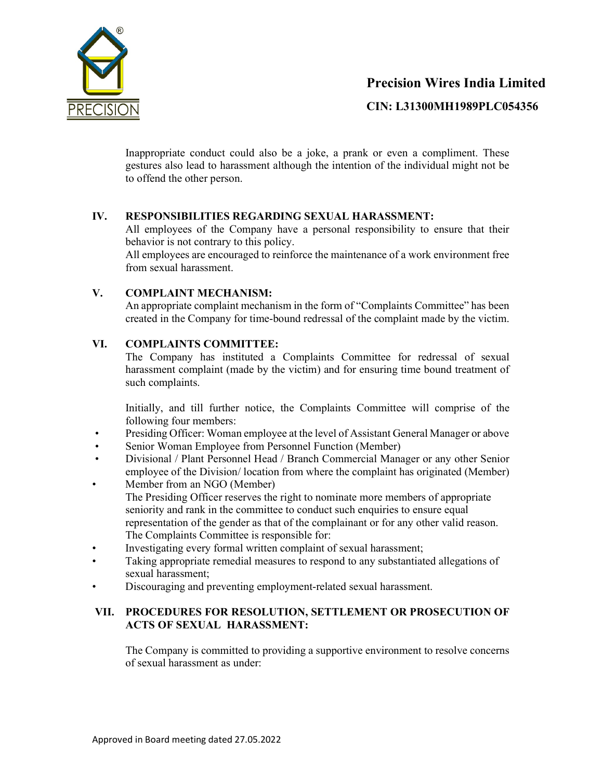

## Precision Wires India Limited

CIN: L31300MH1989PLC054356

Inappropriate conduct could also be a joke, a prank or even a compliment. These gestures also lead to harassment although the intention of the individual might not be to offend the other person.

### IV. RESPONSIBILITIES REGARDING SEXUAL HARASSMENT:

All employees of the Company have a personal responsibility to ensure that their behavior is not contrary to this policy.

All employees are encouraged to reinforce the maintenance of a work environment free from sexual harassment.

### V. COMPLAINT MECHANISM:

An appropriate complaint mechanism in the form of "Complaints Committee" has been created in the Company for time-bound redressal of the complaint made by the victim.

### VI. COMPLAINTS COMMITTEE:

The Company has instituted a Complaints Committee for redressal of sexual harassment complaint (made by the victim) and for ensuring time bound treatment of such complaints.

Initially, and till further notice, the Complaints Committee will comprise of the following four members:

- Presiding Officer: Woman employee at the level of Assistant General Manager or above
- Senior Woman Employee from Personnel Function (Member)
- Divisional / Plant Personnel Head / Branch Commercial Manager or any other Senior employee of the Division/ location from where the complaint has originated (Member)
- Member from an NGO (Member) The Presiding Officer reserves the right to nominate more members of appropriate seniority and rank in the committee to conduct such enquiries to ensure equal representation of the gender as that of the complainant or for any other valid reason. The Complaints Committee is responsible for:
- Investigating every formal written complaint of sexual harassment;
- Taking appropriate remedial measures to respond to any substantiated allegations of sexual harassment;
- Discouraging and preventing employment-related sexual harassment.

### VII. PROCEDURES FOR RESOLUTION, SETTLEMENT OR PROSECUTION OF ACTS OF SEXUAL HARASSMENT:

The Company is committed to providing a supportive environment to resolve concerns of sexual harassment as under: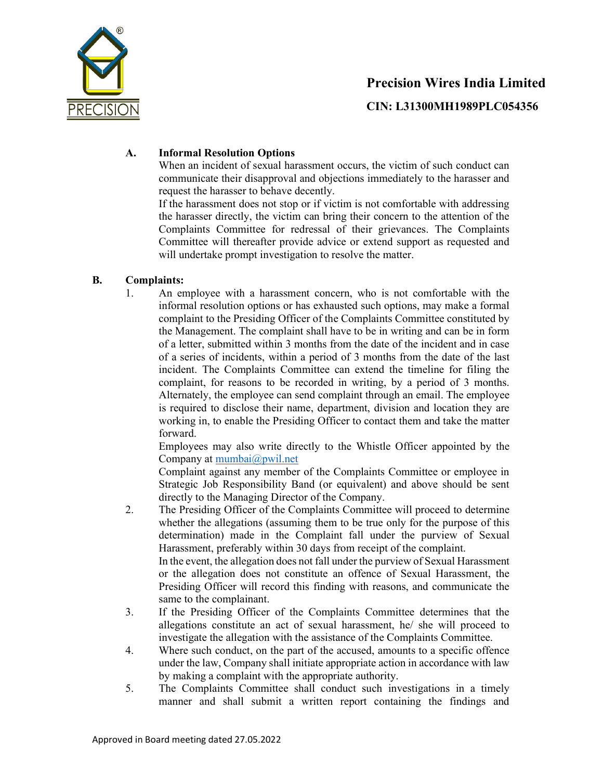

# Precision Wires India Limited CIN: L31300MH1989PLC054356

### A. Informal Resolution Options

When an incident of sexual harassment occurs, the victim of such conduct can communicate their disapproval and objections immediately to the harasser and request the harasser to behave decently.

If the harassment does not stop or if victim is not comfortable with addressing the harasser directly, the victim can bring their concern to the attention of the Complaints Committee for redressal of their grievances. The Complaints Committee will thereafter provide advice or extend support as requested and will undertake prompt investigation to resolve the matter.

### B. Complaints:

1. An employee with a harassment concern, who is not comfortable with the informal resolution options or has exhausted such options, may make a formal complaint to the Presiding Officer of the Complaints Committee constituted by the Management. The complaint shall have to be in writing and can be in form of a letter, submitted within 3 months from the date of the incident and in case of a series of incidents, within a period of 3 months from the date of the last incident. The Complaints Committee can extend the timeline for filing the complaint, for reasons to be recorded in writing, by a period of 3 months. Alternately, the employee can send complaint through an email. The employee is required to disclose their name, department, division and location they are working in, to enable the Presiding Officer to contact them and take the matter forward.

Employees may also write directly to the Whistle Officer appointed by the Company at mumbai@pwil.net

Complaint against any member of the Complaints Committee or employee in Strategic Job Responsibility Band (or equivalent) and above should be sent directly to the Managing Director of the Company.

2. The Presiding Officer of the Complaints Committee will proceed to determine whether the allegations (assuming them to be true only for the purpose of this determination) made in the Complaint fall under the purview of Sexual Harassment, preferably within 30 days from receipt of the complaint. In the event, the allegation does not fall under the purview of Sexual Harassment

or the allegation does not constitute an offence of Sexual Harassment, the Presiding Officer will record this finding with reasons, and communicate the same to the complainant.

- 3. If the Presiding Officer of the Complaints Committee determines that the allegations constitute an act of sexual harassment, he/ she will proceed to investigate the allegation with the assistance of the Complaints Committee.
- 4. Where such conduct, on the part of the accused, amounts to a specific offence under the law, Company shall initiate appropriate action in accordance with law by making a complaint with the appropriate authority.
- 5. The Complaints Committee shall conduct such investigations in a timely manner and shall submit a written report containing the findings and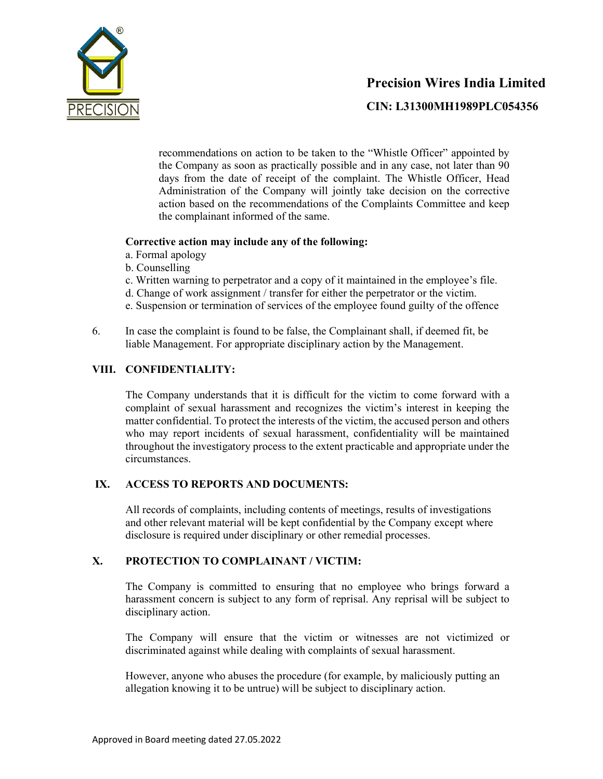

# Precision Wires India Limited CIN: L31300MH1989PLC054356

recommendations on action to be taken to the "Whistle Officer" appointed by the Company as soon as practically possible and in any case, not later than 90 days from the date of receipt of the complaint. The Whistle Officer, Head Administration of the Company will jointly take decision on the corrective action based on the recommendations of the Complaints Committee and keep the complainant informed of the same.

### Corrective action may include any of the following:

- a. Formal apology
- b. Counselling
- c. Written warning to perpetrator and a copy of it maintained in the employee's file.
- d. Change of work assignment / transfer for either the perpetrator or the victim.
- e. Suspension or termination of services of the employee found guilty of the offence
- 6. In case the complaint is found to be false, the Complainant shall, if deemed fit, be liable Management. For appropriate disciplinary action by the Management.

### VIII. CONFIDENTIALITY:

The Company understands that it is difficult for the victim to come forward with a complaint of sexual harassment and recognizes the victim's interest in keeping the matter confidential. To protect the interests of the victim, the accused person and others who may report incidents of sexual harassment, confidentiality will be maintained throughout the investigatory process to the extent practicable and appropriate under the circumstances.

### IX. ACCESS TO REPORTS AND DOCUMENTS:

All records of complaints, including contents of meetings, results of investigations and other relevant material will be kept confidential by the Company except where disclosure is required under disciplinary or other remedial processes.

### X. PROTECTION TO COMPLAINANT / VICTIM:

The Company is committed to ensuring that no employee who brings forward a harassment concern is subject to any form of reprisal. Any reprisal will be subject to disciplinary action.

The Company will ensure that the victim or witnesses are not victimized or discriminated against while dealing with complaints of sexual harassment.

However, anyone who abuses the procedure (for example, by maliciously putting an allegation knowing it to be untrue) will be subject to disciplinary action.